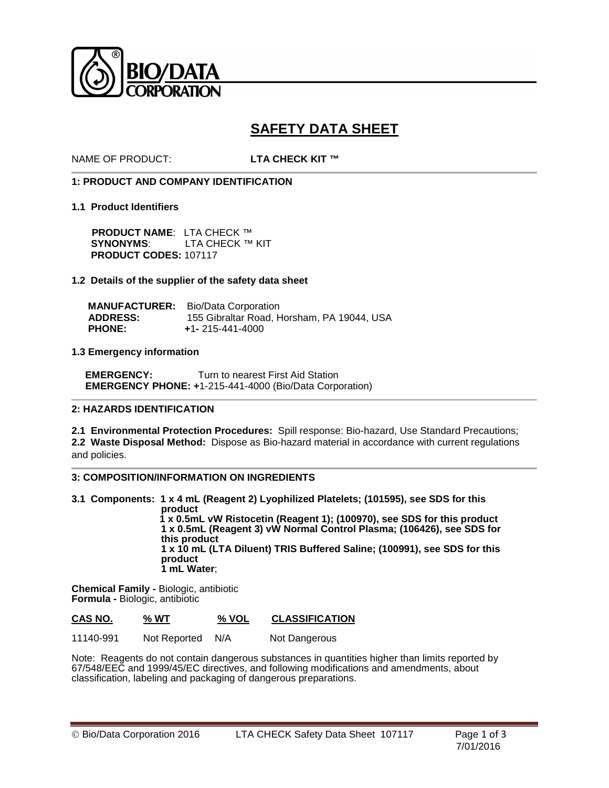

# **SAFETY DATA SHEET**

NAME OF PRODUCT: **LTA CHECK KIT ™**

# **1: PRODUCT AND COMPANY IDENTIFICATION**

### **1.1 Product Identifiers**

**PRODUCT NAME**: LTA CHECK ™ **SYNONYMS**: LTA CHECK ™ KIT **PRODUCT CODES:** 107117

# **1.2 Details of the supplier of the safety data sheet**

|                 | <b>MANUFACTURER:</b> Bio/Data Corporation  |
|-----------------|--------------------------------------------|
| <b>ADDRESS:</b> | 155 Gibraltar Road. Horsham. PA 19044. USA |
| <b>PHONE:</b>   | $+1 - 215 - 441 - 4000$                    |

# **1.3 Emergency information**

**EMERGENCY:** Turn to nearest First Aid Station  **EMERGENCY PHONE: +**1-215-441-4000 (Bio/Data Corporation)

### **2: HAZARDS IDENTIFICATION**

**2.1 Environmental Protection Procedures:** Spill response: Bio-hazard, Use Standard Precautions; **2.2 Waste Disposal Method:** Dispose as Bio-hazard material in accordance with current regulations and policies.

# **3: COMPOSITION/INFORMATION ON INGREDIENTS**

**3.1 Components: 1 x 4 mL (Reagent 2) Lyophilized Platelets; (101595), see SDS for this product 1 x 0.5mL vW Ristocetin (Reagent 1); (100970), see SDS for this product 1 x 0.5mL (Reagent 3) vW Normal Control Plasma; (106426), see SDS for this product 1 x 10 mL (LTA Diluent) TRIS Buffered Saline; (100991), see SDS for this product 1 mL Water**;

**Chemical Family -** Biologic, antibiotic **Formula -** Biologic, antibiotic

| CAS NO.   | % WT         | % VOL | <b>CLASSIFICATION</b> |
|-----------|--------------|-------|-----------------------|
| 11140-991 | Not Reported | N/A   | Not Dangerous         |

Note: Reagents do not contain dangerous substances in quantities higher than limits reported by 67/548/EEC and 1999/45/EC directives, and following modifications and amendments, about classification, labeling and packaging of dangerous preparations.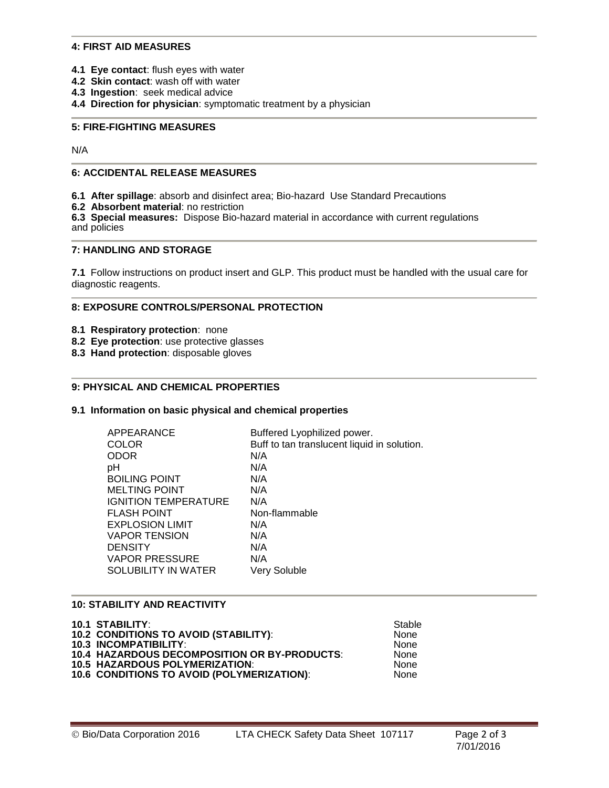### **4: FIRST AID MEASURES**

- **4.1 Eye contact**: flush eyes with water
- **4.2 Skin contact**: wash off with water
- **4.3 Ingestion**: seek medical advice
- **4.4 Direction for physician**: symptomatic treatment by a physician

## **5: FIRE-FIGHTING MEASURES**

N/A

# **6: ACCIDENTAL RELEASE MEASURES**

**6.1 After spillage**: absorb and disinfect area; Bio-hazard Use Standard Precautions

**6.2 Absorbent material**: no restriction

**6.3 Special measures:** Dispose Bio-hazard material in accordance with current regulations and policies

### **7: HANDLING AND STORAGE**

**7.1** Follow instructions on product insert and GLP. This product must be handled with the usual care for diagnostic reagents.

# **8: EXPOSURE CONTROLS/PERSONAL PROTECTION**

- **8.1 Respiratory protection**: none
- **8.2 Eye protection**: use protective glasses
- **8.3 Hand protection**: disposable gloves

#### **9: PHYSICAL AND CHEMICAL PROPERTIES**

#### **9.1 Information on basic physical and chemical properties**

| APPEARANCE                  | Buffered Lyophilized power.                 |
|-----------------------------|---------------------------------------------|
| <b>COLOR</b>                | Buff to tan translucent liquid in solution. |
| <b>ODOR</b>                 | N/A                                         |
| рH                          | N/A                                         |
| <b>BOILING POINT</b>        | N/A                                         |
| <b>MELTING POINT</b>        | N/A                                         |
| <b>IGNITION TEMPERATURE</b> | N/A                                         |
| <b>FLASH POINT</b>          | Non-flammable                               |
| <b>EXPLOSION LIMIT</b>      | N/A                                         |
| <b>VAPOR TENSION</b>        | N/A                                         |
| <b>DENSITY</b>              | N/A                                         |
| <b>VAPOR PRESSURE</b>       | N/A                                         |
| SOLUBILITY IN WATER         | Very Soluble                                |

#### **10: STABILITY AND REACTIVITY**

| <b>10.1 STABILITY:</b>                       | Stable      |
|----------------------------------------------|-------------|
| <b>10.2 CONDITIONS TO AVOID (STABILITY):</b> | <b>None</b> |
| <b>10.3 INCOMPATIBILITY:</b>                 | <b>None</b> |
| 10.4 HAZARDOUS DECOMPOSITION OR BY-PRODUCTS: | <b>None</b> |
| <b>10.5 HAZARDOUS POLYMERIZATION:</b>        | <b>None</b> |
| 10.6 CONDITIONS TO AVOID (POLYMERIZATION):   | <b>None</b> |